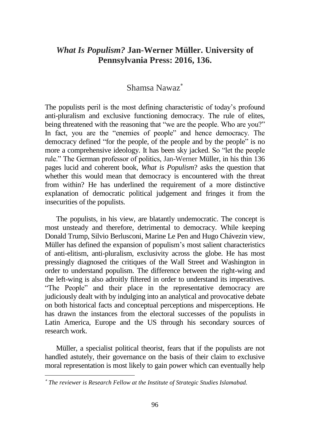## *What Is Populism?* **Jan-Werner Müller. University of Pennsylvania Press: 2016, 136.**

## Shamsa Nawaz

The populists peril is the most defining characteristic of today's profound anti-pluralism and exclusive functioning democracy. The rule of elites, being threatened with the reasoning that "we are the people. Who are you?" In fact, you are the "enemies of people" and hence democracy. The democracy defined "for the people, of the people and by the people" is no more a comprehensive ideology. It has been sky jacked. So "let the people rule." The German professor of politics, Jan-Werner Müller, in his thin 136 pages lucid and coherent book, *What is Populism*? asks the question that whether this would mean that democracy is encountered with the threat from within? He has underlined the requirement of a more distinctive explanation of democratic political judgement and fringes it from the insecurities of the populists.

The populists, in his view, are blatantly undemocratic. The concept is most unsteady and therefore, detrimental to democracy. While keeping Donald Trump, Silvio Berlusconi, Marine Le Pen and Hugo Chávezin view, Müller has defined the expansion of populism's most salient characteristics of anti-elitism, anti-pluralism, exclusivity across the globe. He has most pressingly diagnosed the critiques of the Wall Street and Washington in order to understand populism. The difference between the right-wing and the left-wing is also adroitly filtered in order to understand its imperatives. "The People" and their place in the representative democracy are judiciously dealt with by indulging into an analytical and provocative debate on both historical facts and conceptual perceptions and misperceptions. He has drawn the instances from the electoral successes of the populists in Latin America, Europe and the US through his secondary sources of research work.

Müller, a specialist political theorist, fears that if the populists are not handled astutely, their governance on the basis of their claim to exclusive moral representation is most likely to gain power which can eventually help

*The reviewer is Research Fellow at the Institute of Strategic Studies Islamabad.*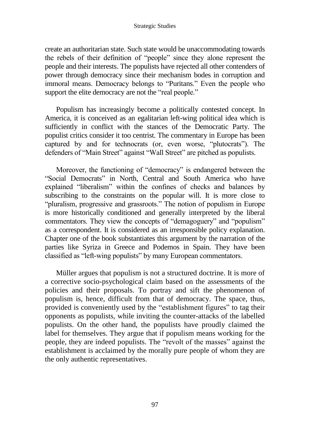## Strategic Studies

create an authoritarian state. Such state would be unaccommodating towards the rebels of their definition of "people" since they alone represent the people and their interests. The populists have rejected all other contenders of power through democracy since their mechanism bodes in corruption and immoral means. Democracy belongs to "Puritans." Even the people who support the elite democracy are not the "real people."

Populism has increasingly become a politically contested concept. In America, it is conceived as an egalitarian left-wing political idea which is sufficiently in conflict with the stances of the Democratic Party. The populist critics consider it too centrist. The commentary in Europe has been captured by and for technocrats (or, even worse, "plutocrats"). The defenders of "Main Street" against "Wall Street" are pitched as populists.

Moreover, the functioning of "democracy" is endangered between the "Social Democrats" in North, Central and South America who have explained "liberalism" within the confines of checks and balances by subscribing to the constraints on the popular will. It is more close to "pluralism, progressive and grassroots." The notion of populism in Europe is more historically conditioned and generally interpreted by the liberal commentators. They view the concepts of "demagoguery" and "populism" as a correspondent. It is considered as an irresponsible policy explanation. Chapter one of the book substantiates this argument by the narration of the parties like Syriza in Greece and Podemos in Spain. They have been classified as "left-wing populists" by many European commentators.

Müller argues that populism is not a structured doctrine. It is more of a corrective socio-psychological claim based on the assessments of the policies and their proposals. To portray and sift the phenomenon of populism is, hence, difficult from that of democracy. The space, thus, provided is conveniently used by the "establishment figures" to tag their opponents as populists, while inviting the counter-attacks of the labelled populists. On the other hand, the populists have proudly claimed the label for themselves. They argue that if populism means working for the people, they are indeed populists. The "revolt of the masses" against the establishment is acclaimed by the morally pure people of whom they are the only authentic representatives.